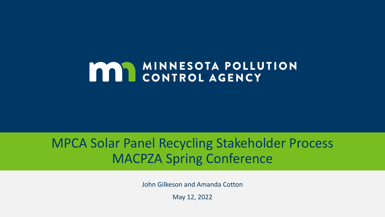## **MAN MINNESOTA POLLUTION**

#### MPCA Solar Panel Recycling Stakeholder Process MACPZA Spring Conference

John Gilkeson and Amanda Cotton

May 12, 2022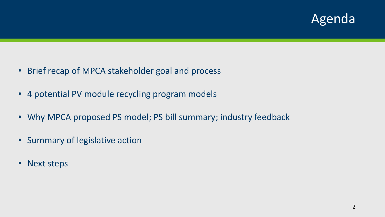#### Agenda

- Brief recap of MPCA stakeholder goal and process
- 4 potential PV module recycling program models
- Why MPCA proposed PS model; PS bill summary; industry feedback
- Summary of legislative action
- Next steps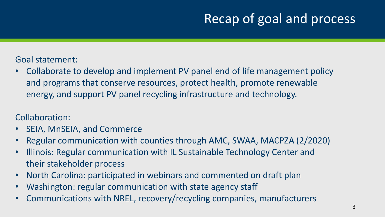### Recap of goal and process

#### Goal statement:

• Collaborate to develop and implement PV panel end of life management policy and programs that conserve resources, protect health, promote renewable energy, and support PV panel recycling infrastructure and technology.

#### Collaboration:

- SEIA, MnSEIA, and Commerce
- Regular communication with counties through AMC, SWAA, MACPZA (2/2020)
- Illinois: Regular communication with IL Sustainable Technology Center and their stakeholder process
- North Carolina: participated in webinars and commented on draft plan
- Washington: regular communication with state agency staff
- Communications with NREL, recovery/recycling companies, manufacturers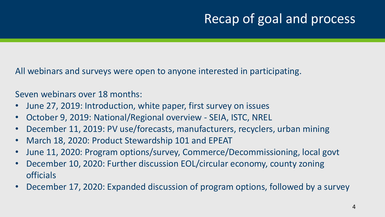### Recap of goal and process

All webinars and surveys were open to anyone interested in participating.

Seven webinars over 18 months:

- June 27, 2019: Introduction, white paper, first survey on issues
- October 9, 2019: National/Regional overview SEIA, ISTC, NREL
- December 11, 2019: PV use/forecasts, manufacturers, recyclers, urban mining
- March 18, 2020: Product Stewardship 101 and EPEAT
- June 11, 2020: Program options/survey, Commerce/Decommissioning, local govt
- December 10, 2020: Further discussion EOL/circular economy, county zoning officials
- December 17, 2020: Expanded discussion of program options, followed by a survey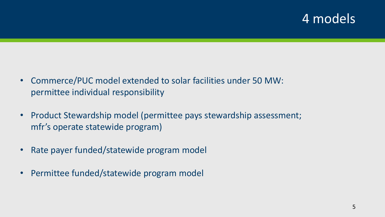#### 4 models

- Commerce/PUC model extended to solar facilities under 50 MW: permittee individual responsibility
- Product Stewardship model (permittee pays stewardship assessment; mfr's operate statewide program)
- Rate payer funded/statewide program model
- Permittee funded/statewide program model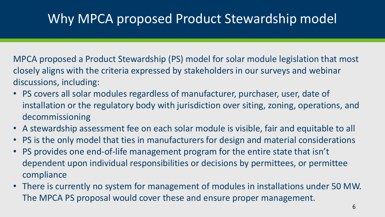#### Why MPCA proposed Product Stewardship model

MPCA proposed a Product Stewardship (PS) model for solar module legislation that most closely aligns with the criteria expressed by stakeholders in our surveys and webinar discussions, including:

- PS covers all solar modules regardless of manufacturer, purchaser, user, date of installation or the regulatory body with jurisdiction over siting, zoning, operations, and decommissioning
- A stewardship assessment fee on each solar module is visible, fair and equitable to all
- PS is the only model that ties in manufacturers for design and material considerations
- PS provides one end-of-life management program for the entire state that isn't dependent upon individual responsibilities or decisions by permittees, or permittee compliance
- There is currently no system for management of modules in installations under 50 MW. The MPCA PS proposal would cover these and ensure proper management.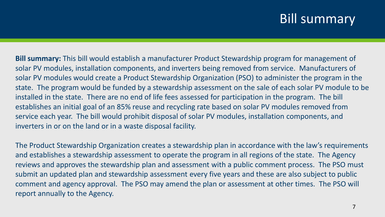#### **Bill summary**

**Bill summary:** This bill would establish a manufacturer Product Stewardship program for management of solar PV modules, installation components, and inverters being removed from service. Manufacturers of solar PV modules would create a Product Stewardship Organization (PSO) to administer the program in the state. The program would be funded by a stewardship assessment on the sale of each solar PV module to be installed in the state. There are no end of life fees assessed for participation in the program. The bill establishes an initial goal of an 85% reuse and recycling rate based on solar PV modules removed from service each year. The bill would prohibit disposal of solar PV modules, installation components, and inverters in or on the land or in a waste disposal facility.

The Product Stewardship Organization creates a stewardship plan in accordance with the law's requirements and establishes a stewardship assessment to operate the program in all regions of the state. The Agency reviews and approves the stewardship plan and assessment with a public comment process. The PSO must submit an updated plan and stewardship assessment every five years and these are also subject to public comment and agency approval. The PSO may amend the plan or assessment at other times. The PSO will report annually to the Agency.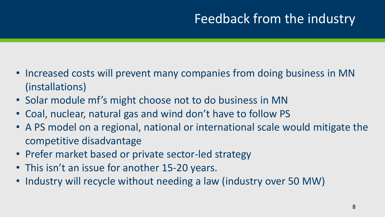## Feedback from the industry

- Increased costs will prevent many companies from doing business in MN (installations)
- Solar module mf's might choose not to do business in MN
- Coal, nuclear, natural gas and wind don't have to follow PS
- A PS model on a regional, national or international scale would mitigate the competitive disadvantage
- Prefer market based or private sector-led strategy
- This isn't an issue for another 15-20 years.
- Industry will recycle without needing a law (industry over 50 MW)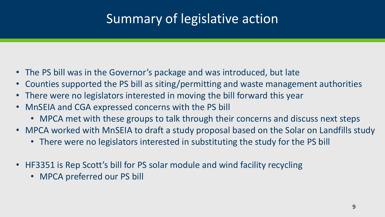## Summary of legislative action

- The PS bill was in the Governor's package and was introduced, but late
- Counties supported the PS bill as siting/permitting and waste management authorities
- There were no legislators interested in moving the bill forward this year
- MnSEIA and CGA expressed concerns with the PS bill
	- MPCA met with these groups to talk through their concerns and discuss next steps
- MPCA worked with MnSEIA to draft a study proposal based on the Solar on Landfills study
	- There were no legislators interested in substituting the study for the PS bill
- HF3351 is Rep Scott's bill for PS solar module and wind facility recycling
	- MPCA preferred our PS bill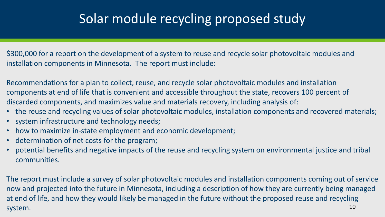#### Solar module recycling proposed study

\$300,000 for a report on the development of a system to reuse and recycle solar photovoltaic modules and installation components in Minnesota. The report must include:

Recommendations for a plan to collect, reuse, and recycle solar photovoltaic modules and installation components at end of life that is convenient and accessible throughout the state, recovers 100 percent of discarded components, and maximizes value and materials recovery, including analysis of:

- the reuse and recycling values of solar photovoltaic modules, installation components and recovered materials;
- system infrastructure and technology needs;
- how to maximize in-state employment and economic development;
- determination of net costs for the program;
- potential benefits and negative impacts of the reuse and recycling system on environmental justice and tribal communities.

10 The report must include a survey of solar photovoltaic modules and installation components coming out of service now and projected into the future in Minnesota, including a description of how they are currently being managed at end of life, and how they would likely be managed in the future without the proposed reuse and recycling system.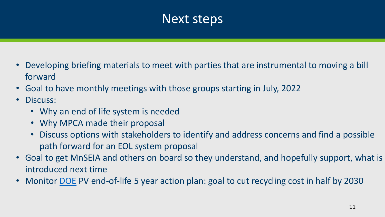#### Next steps

- Developing briefing materials to meet with parties that are instrumental to moving a bill forward
- Goal to have monthly meetings with those groups starting in July, 2022
- Discuss:
	- Why an end of life system is needed
	- Why MPCA made their proposal
	- Discuss options with stakeholders to identify and address concerns and find a possible path forward for an EOL system proposal
- Goal to get MnSEIA and others on board so they understand, and hopefully support, what is introduced next time
- Monitor [DOE](https://www.energy.gov/sites/default/files/2022-03/Solar-Energy-Technologies-Office-PV-End-of-Life-Action-Plan_0.pdf) PV end-of-life 5 year action plan: goal to cut recycling cost in half by 2030